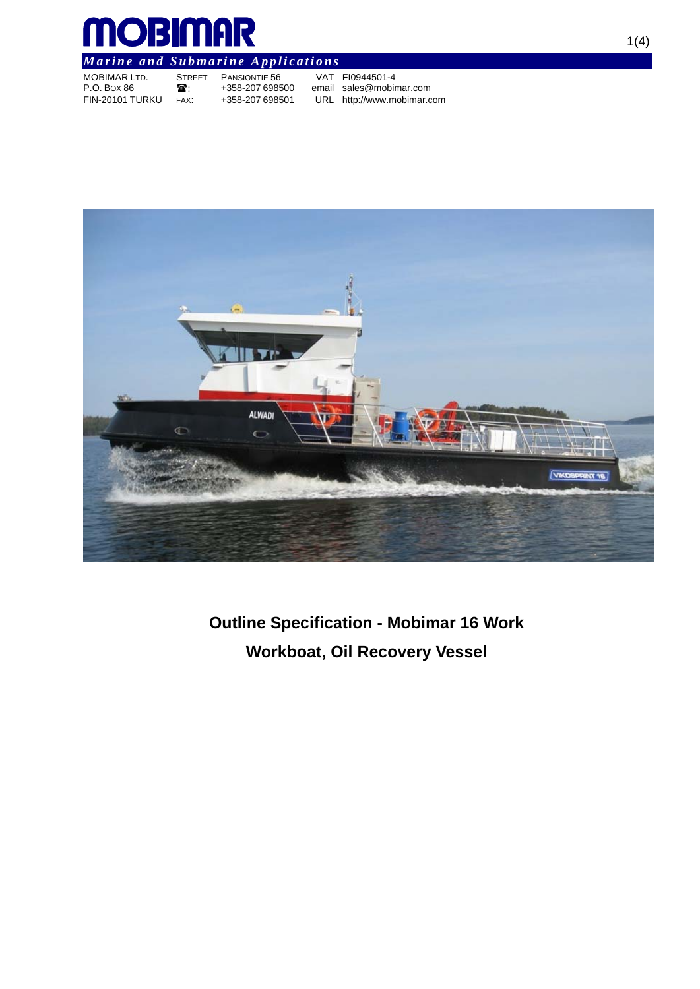

# *Marine and Submarine Applications*

| <b>MOBIMAR LTD.</b> | <b>STREE</b> |
|---------------------|--------------|
| P.O. Box 86         | ☎.           |
| FIN-20101 TURKU     | FAX:         |

ET PANSIONTIE 56 VAT FI0944501-4<br>358-207 698500 email sales@mobin+

+358-207 698500 email sales@mobimar.com<br>+358-207 698501 URL http://www.mobimar.c URL http://www.mobimar.com



**Outline Specification - Mobimar 16 Work Workboat, Oil Recovery Vessel**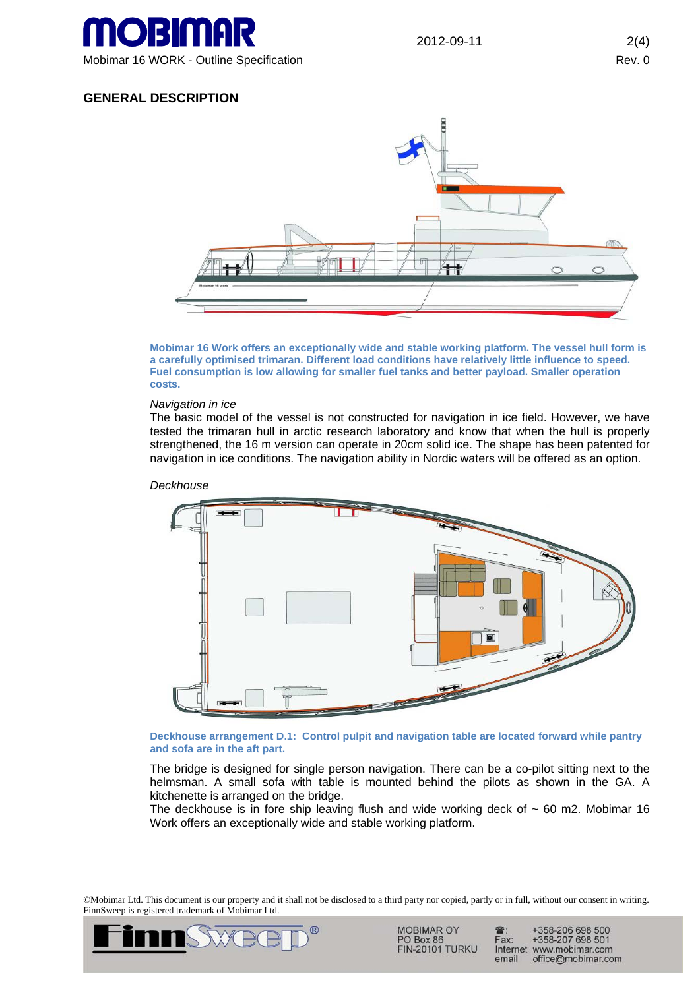

# **GENERAL DESCRIPTION**



**Mobimar 16 Work offers an exceptionally wide and stable working platform. The vessel hull form is a carefully optimised trimaran. Different load conditions have relatively little influence to speed. Fuel consumption is low allowing for smaller fuel tanks and better payload. Smaller operation costs.** 

#### *Navigation in ice*

The basic model of the vessel is not constructed for navigation in ice field. However, we have tested the trimaran hull in arctic research laboratory and know that when the hull is properly strengthened, the 16 m version can operate in 20cm solid ice. The shape has been patented for navigation in ice conditions. The navigation ability in Nordic waters will be offered as an option.



*Deckhouse* 

**Deckhouse arrangement D.1: Control pulpit and navigation table are located forward while pantry and sofa are in the aft part.** 

The bridge is designed for single person navigation. There can be a co-pilot sitting next to the helmsman. A small sofa with table is mounted behind the pilots as shown in the GA. A kitchenette is arranged on the bridge.

The deckhouse is in fore ship leaving flush and wide working deck of  $\sim$  60 m2. Mobimar 16 Work offers an exceptionally wide and stable working platform.

©Mobimar Ltd. This document is our property and it shall not be disclosed to a third party nor copied, partly or in full, without our consent in writing. FinnSweep is registered trademark of Mobimar Ltd.



**MOBIMAR OY** PO Box 86 **FIN-20101 TURKU** 

+358-206 698 500<br>+358-207 698 501 m. Fax: Internet www.mobimar.com email office@mobimar.com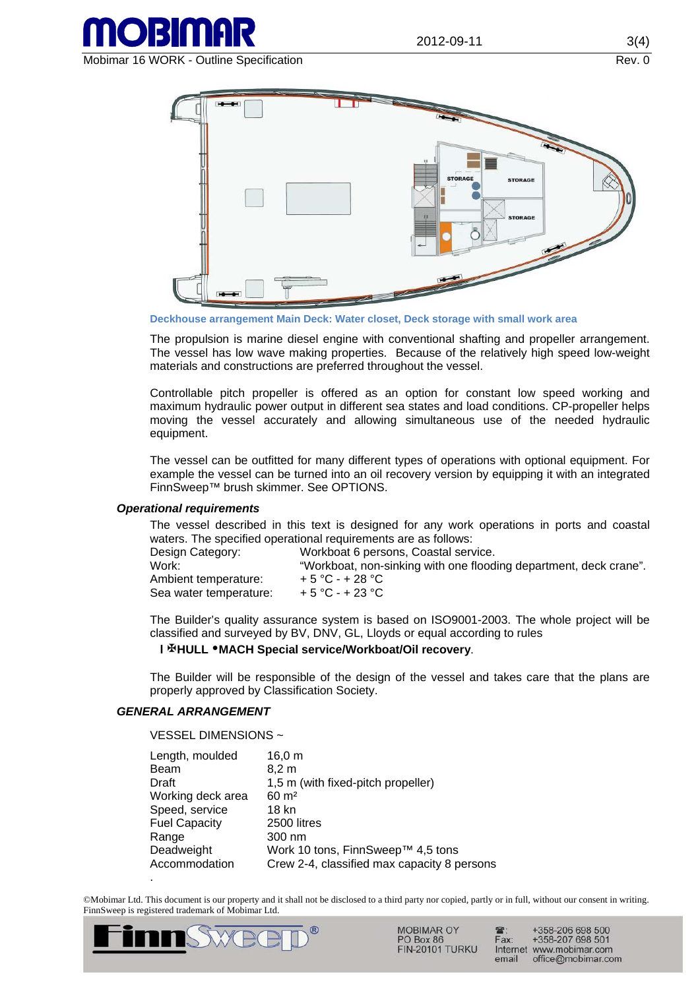

Mobimar 16 WORK - Outline Specification **Rev. 0** Nobimar 16 WORK - Outline Specification



**Deckhouse arrangement Main Deck: Water closet, Deck storage with small work area** 

The propulsion is marine diesel engine with conventional shafting and propeller arrangement. The vessel has low wave making properties. Because of the relatively high speed low-weight materials and constructions are preferred throughout the vessel.

Controllable pitch propeller is offered as an option for constant low speed working and maximum hydraulic power output in different sea states and load conditions. CP-propeller helps moving the vessel accurately and allowing simultaneous use of the needed hydraulic equipment.

The vessel can be outfitted for many different types of operations with optional equipment. For example the vessel can be turned into an oil recovery version by equipping it with an integrated FinnSweep™ brush skimmer. See OPTIONS.

### *Operational requirements*

The vessel described in this text is designed for any work operations in ports and coastal waters. The specified operational requirements are as follows:

| Design Category:       | Workboat 6 persons, Coastal service.                              |
|------------------------|-------------------------------------------------------------------|
| Work:                  | "Workboat, non-sinking with one flooding department, deck crane". |
| Ambient temperature:   | $+5 °C - +28 °C$                                                  |
| Sea water temperature: | $+5 °C - +23 °C$                                                  |

The Builder's quality assurance system is based on ISO9001-2003. The whole project will be classified and surveyed by BV, DNV, GL, Lloyds or equal according to rules

### **l HULL MACH Special service/Workboat/Oil recovery**.

The Builder will be responsible of the design of the vessel and takes care that the plans are properly approved by Classification Society.

### *GENERAL ARRANGEMENT*

VESSEL DIMENSIONS ~

| Length, moulded      | 16,0 m                                      |
|----------------------|---------------------------------------------|
| Beam                 | $8,2 \text{ m}$                             |
| Draft                | 1,5 m (with fixed-pitch propeller)          |
| Working deck area    | $60 \text{ m}^2$                            |
| Speed, service       | 18 kn                                       |
| <b>Fuel Capacity</b> | 2500 litres                                 |
| Range                | $300 \text{ nm}$                            |
| Deadweight           | Work 10 tons, FinnSweep™ 4,5 tons           |
| Accommodation        | Crew 2-4, classified max capacity 8 persons |
|                      |                                             |

©Mobimar Ltd. This document is our property and it shall not be disclosed to a third party nor copied, partly or in full, without our consent in writing. FinnSweep is registered trademark of Mobimar Ltd.



**MOBIMAR OY** PO Box 86 **FIN-20101 TURKU** 

+358-206 698 500<br>+358-207 698 501 Fax: Internet www.mobimar.com email office@mobimar.com